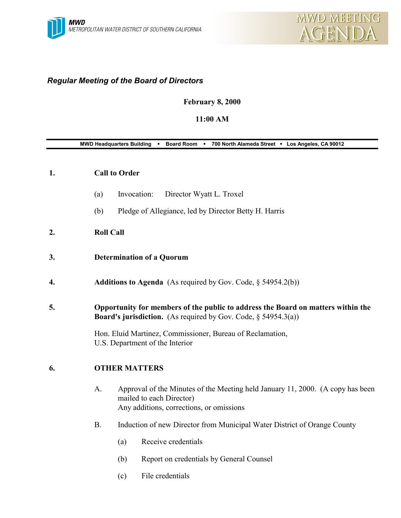

# *Regular Meeting of the Board of Directors*

## **February 8, 2000**

# **11:00 AM**

#### **MWD Headquarters Building** ! **Board Room** ! **700 North Alameda Street** ! **Los Angeles, CA 90012**

### **1. Call to Order**

- (a) Invocation: Director Wyatt L. Troxel
- (b) Pledge of Allegiance, led by Director Betty H. Harris

## **2. Roll Call**

- **3. Determination of a Quorum**
- **4. Additions to Agenda** (As required by Gov. Code, § 54954.2(b))
- **5. Opportunity for members of the public to address the Board on matters within the Board's jurisdiction.** (As required by Gov. Code, § 54954.3(a))

Hon. Eluid Martinez, Commissioner, Bureau of Reclamation, U.S. Department of the Interior

## **6. OTHER MATTERS**

- A. Approval of the Minutes of the Meeting held January 11, 2000. (A copy has been mailed to each Director) Any additions, corrections, or omissions
- B. Induction of new Director from Municipal Water District of Orange County
	- (a) Receive credentials
	- (b) Report on credentials by General Counsel
	- (c) File credentials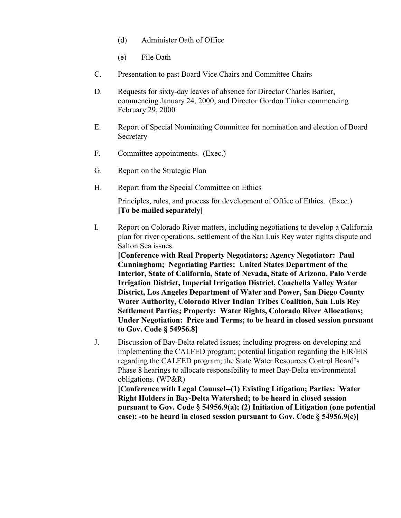- (d) Administer Oath of Office
- (e) File Oath
- C. Presentation to past Board Vice Chairs and Committee Chairs
- D. Requests for sixty-day leaves of absence for Director Charles Barker, commencing January 24, 2000; and Director Gordon Tinker commencing February 29, 2000
- E. Report of Special Nominating Committee for nomination and election of Board Secretary
- F. Committee appointments. (Exec.)
- G. Report on the Strategic Plan
- H. Report from the Special Committee on Ethics

Principles, rules, and process for development of Office of Ethics. (Exec.) **[To be mailed separately]**

I. Report on Colorado River matters, including negotiations to develop a California plan for river operations, settlement of the San Luis Rey water rights dispute and Salton Sea issues.

**[Conference with Real Property Negotiators; Agency Negotiator: Paul Cunningham; Negotiating Parties: United States Department of the Interior, State of California, State of Nevada, State of Arizona, Palo Verde Irrigation District, Imperial Irrigation District, Coachella Valley Water District, Los Angeles Department of Water and Power, San Diego County Water Authority, Colorado River Indian Tribes Coalition, San Luis Rey Settlement Parties; Property: Water Rights, Colorado River Allocations; Under Negotiation: Price and Terms; to be heard in closed session pursuant to Gov. Code § 54956.8]**

J. Discussion of Bay-Delta related issues; including progress on developing and implementing the CALFED program; potential litigation regarding the EIR/EIS regarding the CALFED program; the State Water Resources Control Board's Phase 8 hearings to allocate responsibility to meet Bay-Delta environmental obligations. (WP&R)

**[Conference with Legal Counsel--(1) Existing Litigation; Parties: Water Right Holders in Bay-Delta Watershed; to be heard in closed session pursuant to Gov. Code § 54956.9(a); (2) Initiation of Litigation (one potential case); -to be heard in closed session pursuant to Gov. Code § 54956.9(c)]**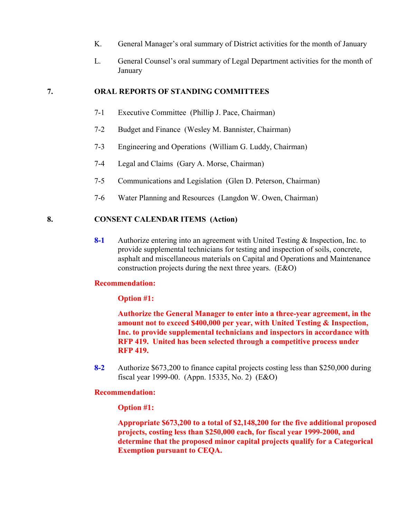- K. General Manager's oral summary of District activities for the month of January
- L. General Counsel's oral summary of Legal Department activities for the month of January

## **7. ORAL REPORTS OF STANDING COMMITTEES**

- 7-1 Executive Committee (Phillip J. Pace, Chairman)
- 7-2 Budget and Finance (Wesley M. Bannister, Chairman)
- 7-3 Engineering and Operations (William G. Luddy, Chairman)
- 7-4 Legal and Claims (Gary A. Morse, Chairman)
- 7-5 Communications and Legislation (Glen D. Peterson, Chairman)
- 7-6 Water Planning and Resources (Langdon W. Owen, Chairman)

#### **8. CONSENT CALENDAR ITEMS (Action)**

**8-1** Authorize entering into an agreement with United Testing & Inspection, Inc. to provide supplemental technicians for testing and inspection of soils, concrete, asphalt and miscellaneous materials on Capital and Operations and Maintenance construction projects during the next three years. (E&O)

#### **Recommendation:**

#### **Option #1:**

**Authorize the General Manager to enter into a three-year agreement, in the amount not to exceed \$400,000 per year, with United Testing & Inspection, Inc. to provide supplemental technicians and inspectors in accordance with RFP 419. United has been selected through a competitive process under RFP 419.**

**8-2** Authorize \$673,200 to finance capital projects costing less than \$250,000 during fiscal year 1999-00. (Appn. 15335, No. 2) (E&O)

# **Recommendation:**

#### **Option #1:**

**Appropriate \$673,200 to a total of \$2,148,200 for the five additional proposed projects, costing less than \$250,000 each, for fiscal year 1999-2000, and determine that the proposed minor capital projects qualify for a Categorical Exemption pursuant to CEQA.**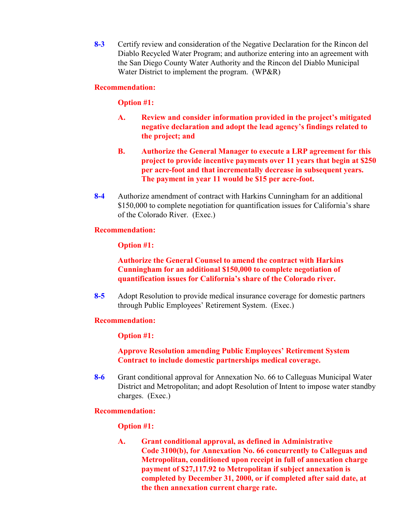**8-3** Certify review and consideration of the Negative Declaration for the Rincon del Diablo Recycled Water Program; and authorize entering into an agreement with the San Diego County Water Authority and the Rincon del Diablo Municipal Water District to implement the program. (WP&R)

## **Recommendation:**

# **Option #1:**

- **A. Review and consider information provided in the project's mitigated negative declaration and adopt the lead agency's findings related to the project; and**
- **B. Authorize the General Manager to execute a LRP agreement for this project to provide incentive payments over 11 years that begin at \$250 per acre-foot and that incrementally decrease in subsequent years. The payment in year 11 would be \$15 per acre-foot.**
- **8-4** Authorize amendment of contract with Harkins Cunningham for an additional \$150,000 to complete negotiation for quantification issues for California's share of the Colorado River. (Exec.)

# **Recommendation:**

# **Option #1:**

# **Authorize the General Counsel to amend the contract with Harkins Cunningham for an additional \$150,000 to complete negotiation of quantification issues for California's share of the Colorado river.**

**8-5** Adopt Resolution to provide medical insurance coverage for domestic partners through Public Employees' Retirement System. (Exec.)

## **Recommendation:**

## **Option #1:**

# **Approve Resolution amending Public Employees' Retirement System Contract to include domestic partnerships medical coverage.**

**8-6** Grant conditional approval for Annexation No. 66 to Calleguas Municipal Water District and Metropolitan; and adopt Resolution of Intent to impose water standby charges. (Exec.)

## **Recommendation:**

## **Option #1:**

**A. Grant conditional approval, as defined in Administrative Code 3100(b), for Annexation No. 66 concurrently to Calleguas and Metropolitan, conditioned upon receipt in full of annexation charge payment of \$27,117.92 to Metropolitan if subject annexation is completed by December 31, 2000, or if completed after said date, at the then annexation current charge rate.**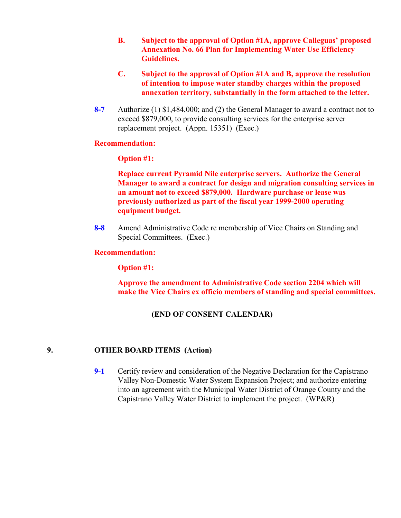- **B. Subject to the approval of Option #1A, approve Calleguas' proposed Annexation No. 66 Plan for Implementing Water Use Efficiency Guidelines.**
- **C. Subject to the approval of Option #1A and B, approve the resolution of intention to impose water standby charges within the proposed annexation territory, substantially in the form attached to the letter.**
- **8-7** Authorize (1) \$1,484,000; and (2) the General Manager to award a contract not to exceed \$879,000, to provide consulting services for the enterprise server replacement project. (Appn. 15351) (Exec.)

# **Recommendation:**

# **Option #1:**

**Replace current Pyramid Nile enterprise servers. Authorize the General Manager to award a contract for design and migration consulting services in an amount not to exceed \$879,000. Hardware purchase or lease was previously authorized as part of the fiscal year 1999-2000 operating equipment budget.**

**8-8** Amend Administrative Code re membership of Vice Chairs on Standing and Special Committees. (Exec.)

## **Recommendation:**

## **Option #1:**

**Approve the amendment to Administrative Code section 2204 which will make the Vice Chairs ex officio members of standing and special committees.**

# **(END OF CONSENT CALENDAR)**

# **9. OTHER BOARD ITEMS (Action)**

**9-1** Certify review and consideration of the Negative Declaration for the Capistrano Valley Non-Domestic Water System Expansion Project; and authorize entering into an agreement with the Municipal Water District of Orange County and the Capistrano Valley Water District to implement the project. (WP&R)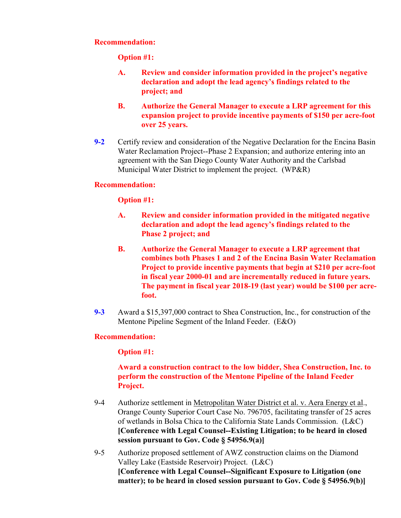# **Recommendation:**

**Option #1:**

- **A. Review and consider information provided in the project's negative declaration and adopt the lead agency's findings related to the project; and**
- **B. Authorize the General Manager to execute a LRP agreement for this expansion project to provide incentive payments of \$150 per acre-foot over 25 years.**
- **9-2** Certify review and consideration of the Negative Declaration for the Encina Basin Water Reclamation Project--Phase 2 Expansion; and authorize entering into an agreement with the San Diego County Water Authority and the Carlsbad Municipal Water District to implement the project. (WP&R)

# **Recommendation:**

# **Option #1:**

- **A. Review and consider information provided in the mitigated negative declaration and adopt the lead agency's findings related to the Phase 2 project; and**
- **B. Authorize the General Manager to execute a LRP agreement that combines both Phases 1 and 2 of the Encina Basin Water Reclamation Project to provide incentive payments that begin at \$210 per acre-foot in fiscal year 2000-01 and are incrementally reduced in future years. The payment in fiscal year 2018-19 (last year) would be \$100 per acrefoot.**
- **9-3** Award a \$15,397,000 contract to Shea Construction, Inc., for construction of the Mentone Pipeline Segment of the Inland Feeder. (E&O)

# **Recommendation:**

# **Option #1:**

# **Award a construction contract to the low bidder, Shea Construction, Inc. to perform the construction of the Mentone Pipeline of the Inland Feeder Project.**

- 9-4 Authorize settlement in Metropolitan Water District et al. v. Aera Energy et al., Orange County Superior Court Case No. 796705, facilitating transfer of 25 acres of wetlands in Bolsa Chica to the California State Lands Commission. (L&C) **[Conference with Legal Counsel--Existing Litigation; to be heard in closed session pursuant to Gov. Code § 54956.9(a)]**
- 9-5 Authorize proposed settlement of AWZ construction claims on the Diamond Valley Lake (Eastside Reservoir) Project. (L&C) **[Conference with Legal Counsel--Significant Exposure to Litigation (one matter); to be heard in closed session pursuant to Gov. Code § 54956.9(b)]**